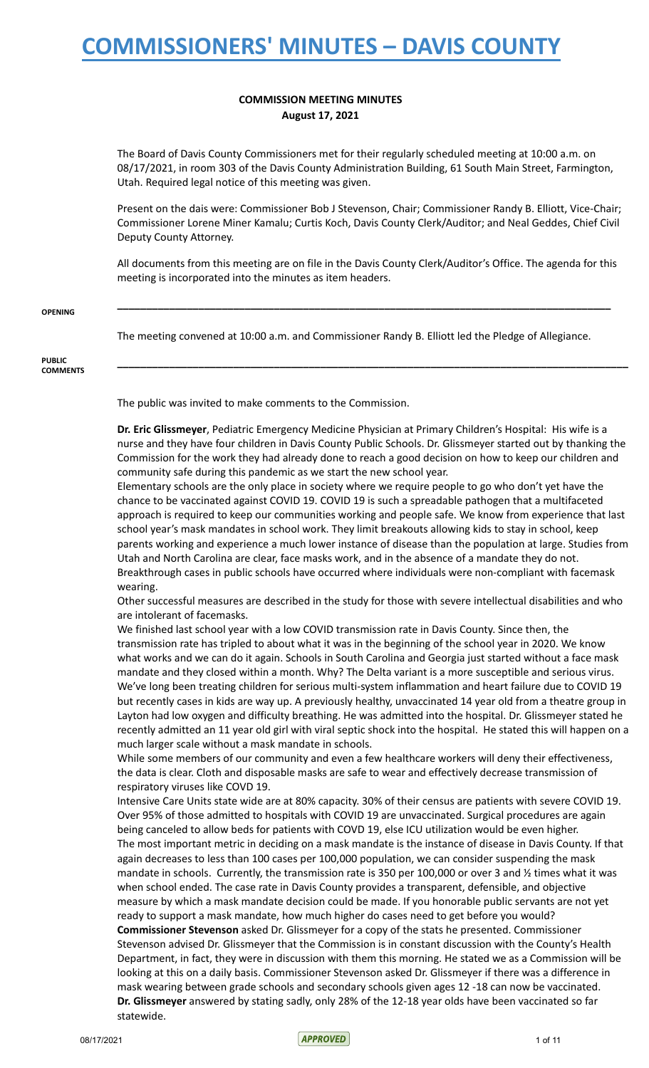### **COMMISSION MEETING MINUTES August 17, 2021**

The Board of Davis County Commissioners met for their regularly scheduled meeting at 10:00 a.m. on 08/17/2021, in room 303 of the Davis County Administration Building, 61 South Main Street, Farmington, Utah. Required legal notice of this meeting was given.

Present on the dais were: Commissioner Bob J Stevenson, Chair; Commissioner Randy B. Elliott, Vice-Chair; Commissioner Lorene Miner Kamalu; Curtis Koch, Davis County Clerk/Auditor; and Neal Geddes, Chief Civil Deputy County Attorney.

All documents from this meeting are on file in the Davis County Clerk/Auditor's Office. The agenda for this meeting is incorporated into the minutes as item headers.

**\_\_\_\_\_\_\_\_\_\_\_\_\_\_\_\_\_\_\_\_\_\_\_\_\_\_\_\_\_\_\_\_\_\_\_\_\_\_\_\_\_\_\_\_\_\_\_\_\_\_\_\_\_\_\_\_\_\_\_\_\_\_\_\_\_\_\_\_\_\_\_\_\_\_\_\_\_\_\_\_\_\_\_\_\_**

**\_\_\_\_\_\_\_\_\_\_\_\_\_\_\_\_\_\_\_\_\_\_\_\_\_\_\_\_\_\_\_\_\_\_\_\_\_\_\_\_\_\_\_\_\_\_\_\_\_\_\_\_\_\_\_\_\_\_\_\_\_\_\_\_\_\_\_\_\_\_\_\_\_\_\_\_\_\_\_\_\_\_\_\_\_\_\_\_**

#### **OPENING**

The meeting convened at 10:00 a.m. and Commissioner Randy B. Elliott led the Pledge of Allegiance.

#### **PUBLIC COMMENTS**

The public was invited to make comments to the Commission.

**Dr. Eric Glissmeyer**, Pediatric Emergency Medicine Physician at Primary Children's Hospital: His wife is a nurse and they have four children in Davis County Public Schools. Dr. Glissmeyer started out by thanking the Commission for the work they had already done to reach a good decision on how to keep our children and community safe during this pandemic as we start the new school year.

Elementary schools are the only place in society where we require people to go who don't yet have the chance to be vaccinated against COVID 19. COVID 19 is such a spreadable pathogen that a multifaceted approach is required to keep our communities working and people safe. We know from experience that last school year's mask mandates in school work. They limit breakouts allowing kids to stay in school, keep parents working and experience a much lower instance of disease than the population at large. Studies from Utah and North Carolina are clear, face masks work, and in the absence of a mandate they do not. Breakthrough cases in public schools have occurred where individuals were non-compliant with facemask wearing.

Other successful measures are described in the study for those with severe intellectual disabilities and who are intolerant of facemasks.

We finished last school year with a low COVID transmission rate in Davis County. Since then, the transmission rate has tripled to about what it was in the beginning of the school year in 2020. We know what works and we can do it again. Schools in South Carolina and Georgia just started without a face mask mandate and they closed within a month. Why? The Delta variant is a more susceptible and serious virus. We've long been treating children for serious multi-system inflammation and heart failure due to COVID 19 but recently cases in kids are way up. A previously healthy, unvaccinated 14 year old from a theatre group in Layton had low oxygen and difficulty breathing. He was admitted into the hospital. Dr. Glissmeyer stated he recently admitted an 11 year old girl with viral septic shock into the hospital. He stated this will happen on a much larger scale without a mask mandate in schools.

While some members of our community and even a few healthcare workers will deny their effectiveness, the data is clear. Cloth and disposable masks are safe to wear and effectively decrease transmission of respiratory viruses like COVD 19.

Intensive Care Units state wide are at 80% capacity. 30% of their census are patients with severe COVID 19. Over 95% of those admitted to hospitals with COVID 19 are unvaccinated. Surgical procedures are again being canceled to allow beds for patients with COVD 19, else ICU utilization would be even higher. The most important metric in deciding on a mask mandate is the instance of disease in Davis County. If that again decreases to less than 100 cases per 100,000 population, we can consider suspending the mask mandate in schools. Currently, the transmission rate is 350 per 100,000 or over 3 and 1/2 times what it was when school ended. The case rate in Davis County provides a transparent, defensible, and objective measure by which a mask mandate decision could be made. If you honorable public servants are not yet ready to support a mask mandate, how much higher do cases need to get before you would? **Commissioner Stevenson** asked Dr. Glissmeyer for a copy of the stats he presented. Commissioner Stevenson advised Dr. Glissmeyer that the Commission is in constant discussion with the County's Health Department, in fact, they were in discussion with them this morning. He stated we as a Commission will be looking at this on a daily basis. Commissioner Stevenson asked Dr. Glissmeyer if there was a difference in mask wearing between grade schools and secondary schools given ages 12 -18 can now be vaccinated. **Dr. Glissmeyer** answered by stating sadly, only 28% of the 12-18 year olds have been vaccinated so far statewide.

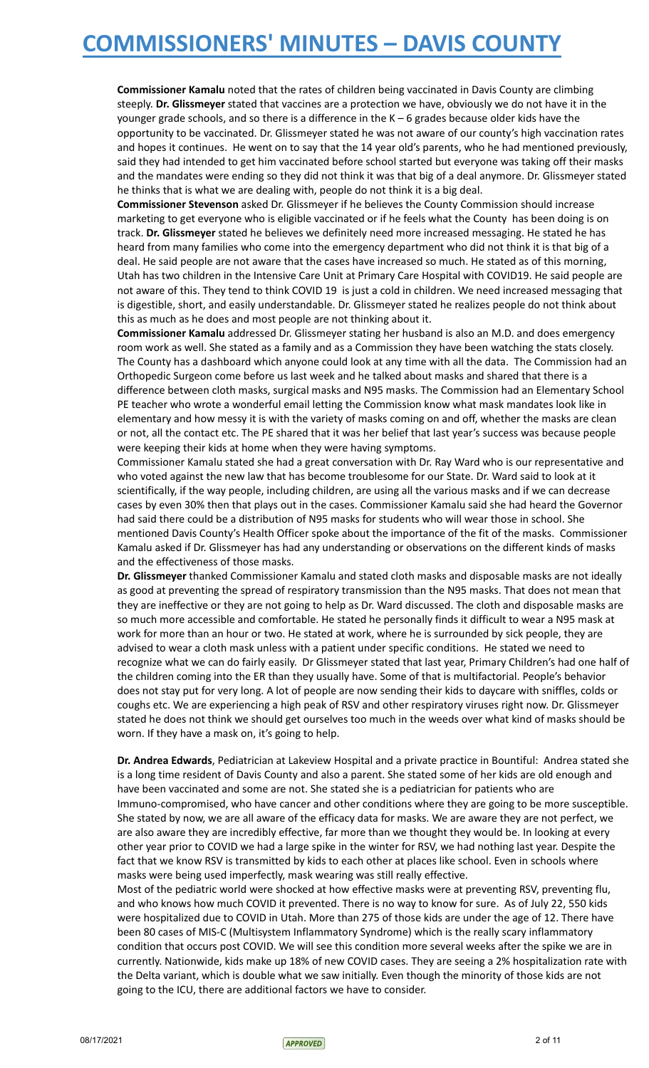**Commissioner Kamalu** noted that the rates of children being vaccinated in Davis County are climbing steeply. **Dr. Glissmeyer** stated that vaccines are a protection we have, obviously we do not have it in the younger grade schools, and so there is a difference in the K – 6 grades because older kids have the opportunity to be vaccinated. Dr. Glissmeyer stated he was not aware of our county's high vaccination rates and hopes it continues. He went on to say that the 14 year old's parents, who he had mentioned previously, said they had intended to get him vaccinated before school started but everyone was taking off their masks and the mandates were ending so they did not think it was that big of a deal anymore. Dr. Glissmeyer stated he thinks that is what we are dealing with, people do not think it is a big deal.

**Commissioner Stevenson** asked Dr. Glissmeyer if he believes the County Commission should increase marketing to get everyone who is eligible vaccinated or if he feels what the County has been doing is on track. **Dr. Glissmeyer** stated he believes we definitely need more increased messaging. He stated he has heard from many families who come into the emergency department who did not think it is that big of a deal. He said people are not aware that the cases have increased so much. He stated as of this morning, Utah has two children in the Intensive Care Unit at Primary Care Hospital with COVID19. He said people are not aware of this. They tend to think COVID 19 is just a cold in children. We need increased messaging that is digestible, short, and easily understandable. Dr. Glissmeyer stated he realizes people do not think about this as much as he does and most people are not thinking about it.

**Commissioner Kamalu** addressed Dr. Glissmeyer stating her husband is also an M.D. and does emergency room work as well. She stated as a family and as a Commission they have been watching the stats closely. The County has a dashboard which anyone could look at any time with all the data. The Commission had an Orthopedic Surgeon come before us last week and he talked about masks and shared that there is a difference between cloth masks, surgical masks and N95 masks. The Commission had an Elementary School PE teacher who wrote a wonderful email letting the Commission know what mask mandates look like in elementary and how messy it is with the variety of masks coming on and off, whether the masks are clean or not, all the contact etc. The PE shared that it was her belief that last year's success was because people were keeping their kids at home when they were having symptoms.

Commissioner Kamalu stated she had a great conversation with Dr. Ray Ward who is our representative and who voted against the new law that has become troublesome for our State. Dr. Ward said to look at it scientifically, if the way people, including children, are using all the various masks and if we can decrease cases by even 30% then that plays out in the cases. Commissioner Kamalu said she had heard the Governor had said there could be a distribution of N95 masks for students who will wear those in school. She mentioned Davis County's Health Officer spoke about the importance of the fit of the masks. Commissioner Kamalu asked if Dr. Glissmeyer has had any understanding or observations on the different kinds of masks and the effectiveness of those masks.

**Dr. Glissmeyer** thanked Commissioner Kamalu and stated cloth masks and disposable masks are not ideally as good at preventing the spread of respiratory transmission than the N95 masks. That does not mean that they are ineffective or they are not going to help as Dr. Ward discussed. The cloth and disposable masks are so much more accessible and comfortable. He stated he personally finds it difficult to wear a N95 mask at work for more than an hour or two. He stated at work, where he is surrounded by sick people, they are advised to wear a cloth mask unless with a patient under specific conditions. He stated we need to recognize what we can do fairly easily. Dr Glissmeyer stated that last year, Primary Children's had one half of the children coming into the ER than they usually have. Some of that is multifactorial. People's behavior does not stay put for very long. A lot of people are now sending their kids to daycare with sniffles, colds or coughs etc. We are experiencing a high peak of RSV and other respiratory viruses right now. Dr. Glissmeyer stated he does not think we should get ourselves too much in the weeds over what kind of masks should be worn. If they have a mask on, it's going to help.

**Dr. Andrea Edwards**, Pediatrician at Lakeview Hospital and a private practice in Bountiful: Andrea stated she is a long time resident of Davis County and also a parent. She stated some of her kids are old enough and have been vaccinated and some are not. She stated she is a pediatrician for patients who are Immuno-compromised, who have cancer and other conditions where they are going to be more susceptible. She stated by now, we are all aware of the efficacy data for masks. We are aware they are not perfect, we are also aware they are incredibly effective, far more than we thought they would be. In looking at every other year prior to COVID we had a large spike in the winter for RSV, we had nothing last year. Despite the fact that we know RSV is transmitted by kids to each other at places like school. Even in schools where masks were being used imperfectly, mask wearing was still really effective.

Most of the pediatric world were shocked at how effective masks were at preventing RSV, preventing flu, and who knows how much COVID it prevented. There is no way to know for sure. As of July 22, 550 kids were hospitalized due to COVID in Utah. More than 275 of those kids are under the age of 12. There have been 80 cases of MIS-C (Multisystem Inflammatory Syndrome) which is the really scary inflammatory condition that occurs post COVID. We will see this condition more several weeks after the spike we are in currently. Nationwide, kids make up 18% of new COVID cases. They are seeing a 2% hospitalization rate with the Delta variant, which is double what we saw initially. Even though the minority of those kids are not going to the ICU, there are additional factors we have to consider.

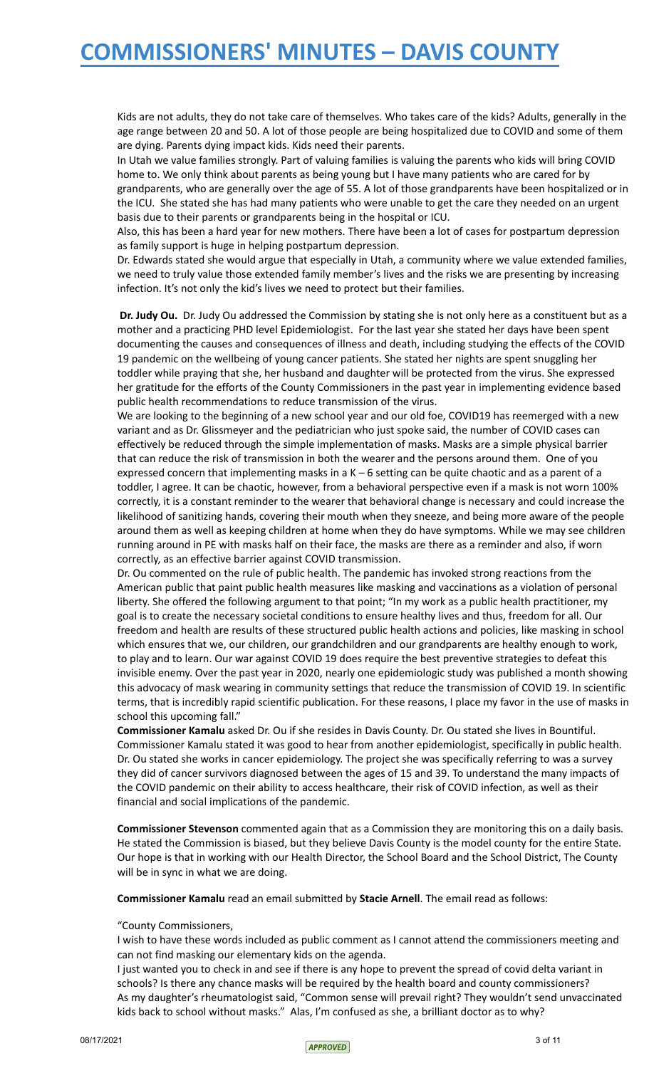Kids are not adults, they do not take care of themselves. Who takes care of the kids? Adults, generally in the age range between 20 and 50. A lot of those people are being hospitalized due to COVID and some of them are dying. Parents dying impact kids. Kids need their parents.

In Utah we value families strongly. Part of valuing families is valuing the parents who kids will bring COVID home to. We only think about parents as being young but I have many patients who are cared for by grandparents, who are generally over the age of 55. A lot of those grandparents have been hospitalized or in the ICU. She stated she has had many patients who were unable to get the care they needed on an urgent basis due to their parents or grandparents being in the hospital or ICU.

Also, this has been a hard year for new mothers. There have been a lot of cases for postpartum depression as family support is huge in helping postpartum depression.

Dr. Edwards stated she would argue that especially in Utah, a community where we value extended families, we need to truly value those extended family member's lives and the risks we are presenting by increasing infection. It's not only the kid's lives we need to protect but their families.

**Dr. Judy Ou.** Dr. Judy Ou addressed the Commission by stating she is not only here as a constituent but as a mother and a practicing PHD level Epidemiologist. For the last year she stated her days have been spent documenting the causes and consequences of illness and death, including studying the effects of the COVID 19 pandemic on the wellbeing of young cancer patients. She stated her nights are spent snuggling her toddler while praying that she, her husband and daughter will be protected from the virus. She expressed her gratitude for the efforts of the County Commissioners in the past year in implementing evidence based public health recommendations to reduce transmission of the virus.

We are looking to the beginning of a new school year and our old foe, COVID19 has reemerged with a new variant and as Dr. Glissmeyer and the pediatrician who just spoke said, the number of COVID cases can effectively be reduced through the simple implementation of masks. Masks are a simple physical barrier that can reduce the risk of transmission in both the wearer and the persons around them. One of you expressed concern that implementing masks in a  $K - 6$  setting can be quite chaotic and as a parent of a toddler, I agree. It can be chaotic, however, from a behavioral perspective even if a mask is not worn 100% correctly, it is a constant reminder to the wearer that behavioral change is necessary and could increase the likelihood of sanitizing hands, covering their mouth when they sneeze, and being more aware of the people around them as well as keeping children at home when they do have symptoms. While we may see children running around in PE with masks half on their face, the masks are there as a reminder and also, if worn correctly, as an effective barrier against COVID transmission.

Dr. Ou commented on the rule of public health. The pandemic has invoked strong reactions from the American public that paint public health measures like masking and vaccinations as a violation of personal liberty. She offered the following argument to that point; "In my work as a public health practitioner, my goal is to create the necessary societal conditions to ensure healthy lives and thus, freedom for all. Our freedom and health are results of these structured public health actions and policies, like masking in school which ensures that we, our children, our grandchildren and our grandparents are healthy enough to work, to play and to learn. Our war against COVID 19 does require the best preventive strategies to defeat this invisible enemy. Over the past year in 2020, nearly one epidemiologic study was published a month showing this advocacy of mask wearing in community settings that reduce the transmission of COVID 19. In scientific terms, that is incredibly rapid scientific publication. For these reasons, I place my favor in the use of masks in school this upcoming fall."

**Commissioner Kamalu** asked Dr. Ou if she resides in Davis County. Dr. Ou stated she lives in Bountiful. Commissioner Kamalu stated it was good to hear from another epidemiologist, specifically in public health. Dr. Ou stated she works in cancer epidemiology. The project she was specifically referring to was a survey they did of cancer survivors diagnosed between the ages of 15 and 39. To understand the many impacts of the COVID pandemic on their ability to access healthcare, their risk of COVID infection, as well as their financial and social implications of the pandemic.

**Commissioner Stevenson** commented again that as a Commission they are monitoring this on a daily basis. He stated the Commission is biased, but they believe Davis County is the model county for the entire State. Our hope is that in working with our Health Director, the School Board and the School District, The County will be in sync in what we are doing.

**Commissioner Kamalu** read an email submitted by **Stacie Arnell**. The email read as follows:

### "County Commissioners,

I wish to have these words included as public comment as I cannot attend the commissioners meeting and can not find masking our elementary kids on the agenda.

I just wanted you to check in and see if there is any hope to prevent the spread of covid delta variant in schools? Is there any chance masks will be required by the health board and county commissioners? As my daughter's rheumatologist said, "Common sense will prevail right? They wouldn't send unvaccinated kids back to school without masks." Alas, I'm confused as she, a brilliant doctor as to why?

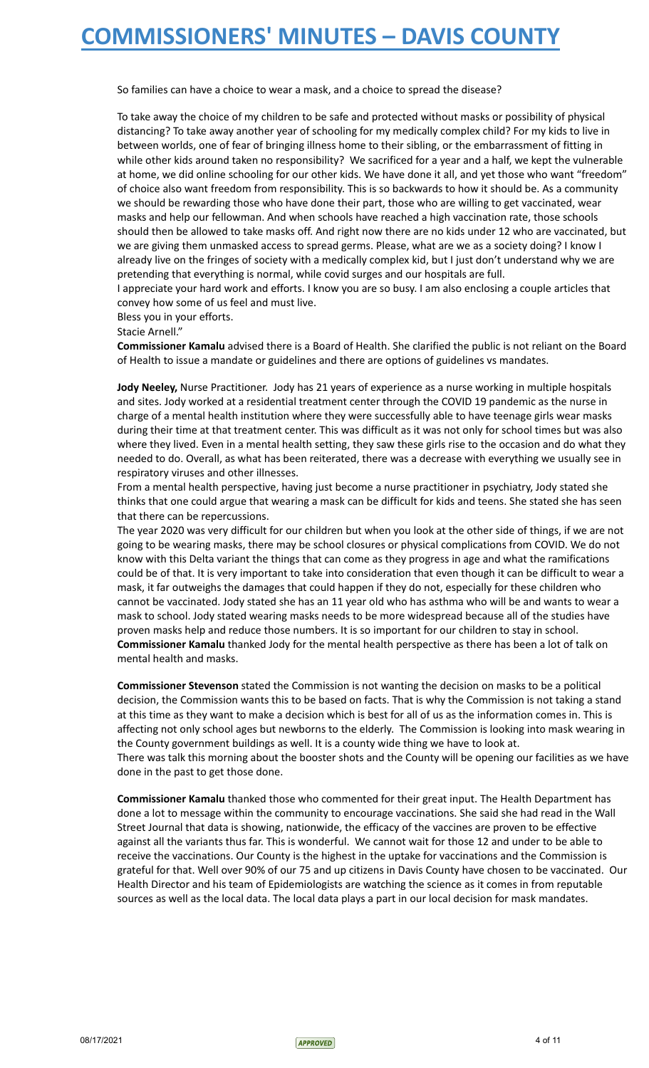So families can have a choice to wear a mask, and a choice to spread the disease?

To take away the choice of my children to be safe and protected without masks or possibility of physical distancing? To take away another year of schooling for my medically complex child? For my kids to live in between worlds, one of fear of bringing illness home to their sibling, or the embarrassment of fitting in while other kids around taken no responsibility? We sacrificed for a year and a half, we kept the vulnerable at home, we did online schooling for our other kids. We have done it all, and yet those who want "freedom" of choice also want freedom from responsibility. This is so backwards to how it should be. As a community we should be rewarding those who have done their part, those who are willing to get vaccinated, wear masks and help our fellowman. And when schools have reached a high vaccination rate, those schools should then be allowed to take masks off. And right now there are no kids under 12 who are vaccinated, but we are giving them unmasked access to spread germs. Please, what are we as a society doing? I know I already live on the fringes of society with a medically complex kid, but I just don't understand why we are pretending that everything is normal, while covid surges and our hospitals are full.

I appreciate your hard work and efforts. I know you are so busy. I am also enclosing a couple articles that convey how some of us feel and must live.

Bless you in your efforts.

Stacie Arnell."

**Commissioner Kamalu** advised there is a Board of Health. She clarified the public is not reliant on the Board of Health to issue a mandate or guidelines and there are options of guidelines vs mandates.

**Jody Neeley,** Nurse Practitioner. Jody has 21 years of experience as a nurse working in multiple hospitals and sites. Jody worked at a residential treatment center through the COVID 19 pandemic as the nurse in charge of a mental health institution where they were successfully able to have teenage girls wear masks during their time at that treatment center. This was difficult as it was not only for school times but was also where they lived. Even in a mental health setting, they saw these girls rise to the occasion and do what they needed to do. Overall, as what has been reiterated, there was a decrease with everything we usually see in respiratory viruses and other illnesses.

From a mental health perspective, having just become a nurse practitioner in psychiatry, Jody stated she thinks that one could argue that wearing a mask can be difficult for kids and teens. She stated she has seen that there can be repercussions.

The year 2020 was very difficult for our children but when you look at the other side of things, if we are not going to be wearing masks, there may be school closures or physical complications from COVID. We do not know with this Delta variant the things that can come as they progress in age and what the ramifications could be of that. It is very important to take into consideration that even though it can be difficult to wear a mask, it far outweighs the damages that could happen if they do not, especially for these children who cannot be vaccinated. Jody stated she has an 11 year old who has asthma who will be and wants to wear a mask to school. Jody stated wearing masks needs to be more widespread because all of the studies have proven masks help and reduce those numbers. It is so important for our children to stay in school. **Commissioner Kamalu** thanked Jody for the mental health perspective as there has been a lot of talk on mental health and masks.

**Commissioner Stevenson** stated the Commission is not wanting the decision on masks to be a political decision, the Commission wants this to be based on facts. That is why the Commission is not taking a stand at this time as they want to make a decision which is best for all of us as the information comes in. This is affecting not only school ages but newborns to the elderly. The Commission is looking into mask wearing in the County government buildings as well. It is a county wide thing we have to look at. There was talk this morning about the booster shots and the County will be opening our facilities as we have done in the past to get those done.

**Commissioner Kamalu** thanked those who commented for their great input. The Health Department has done a lot to message within the community to encourage vaccinations. She said she had read in the Wall Street Journal that data is showing, nationwide, the efficacy of the vaccines are proven to be effective against all the variants thus far. This is wonderful. We cannot wait for those 12 and under to be able to receive the vaccinations. Our County is the highest in the uptake for vaccinations and the Commission is grateful for that. Well over 90% of our 75 and up citizens in Davis County have chosen to be vaccinated. Our Health Director and his team of Epidemiologists are watching the science as it comes in from reputable sources as well as the local data. The local data plays a part in our local decision for mask mandates.

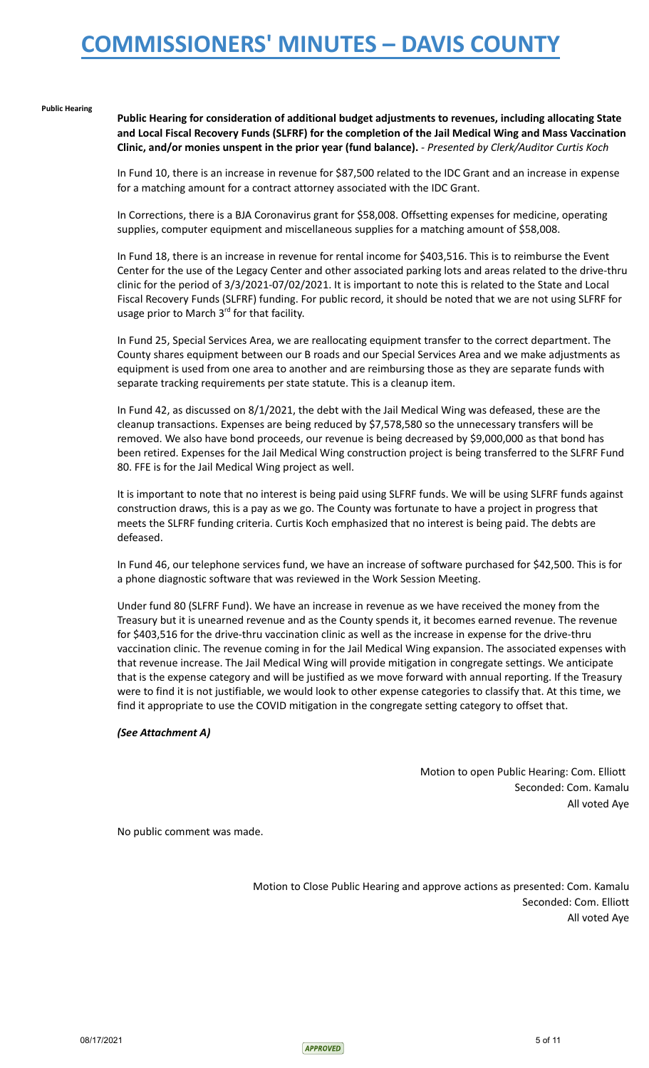#### **Public Hearing**

**Public Hearing for consideration of additional budget adjustments to revenues, including allocating State and Local Fiscal Recovery Funds (SLFRF) for the completion of the Jail Medical Wing and Mass Vaccination Clinic, and/or monies unspent in the prior year (fund balance).** *- Presented by Clerk/Auditor Curtis Koch*

In Fund 10, there is an increase in revenue for \$87,500 related to the IDC Grant and an increase in expense for a matching amount for a contract attorney associated with the IDC Grant.

In Corrections, there is a BJA Coronavirus grant for \$58,008. Offsetting expenses for medicine, operating supplies, computer equipment and miscellaneous supplies for a matching amount of \$58,008.

In Fund 18, there is an increase in revenue for rental income for \$403,516. This is to reimburse the Event Center for the use of the Legacy Center and other associated parking lots and areas related to the drive-thru clinic for the period of 3/3/2021-07/02/2021. It is important to note this is related to the State and Local Fiscal Recovery Funds (SLFRF) funding. For public record, it should be noted that we are not using SLFRF for usage prior to March 3rd for that facility.

In Fund 25, Special Services Area, we are reallocating equipment transfer to the correct department. The County shares equipment between our B roads and our Special Services Area and we make adjustments as equipment is used from one area to another and are reimbursing those as they are separate funds with separate tracking requirements per state statute. This is a cleanup item.

In Fund 42, as discussed on 8/1/2021, the debt with the Jail Medical Wing was defeased, these are the cleanup transactions. Expenses are being reduced by \$7,578,580 so the unnecessary transfers will be removed. We also have bond proceeds, our revenue is being decreased by \$9,000,000 as that bond has been retired. Expenses for the Jail Medical Wing construction project is being transferred to the SLFRF Fund 80. FFE is for the Jail Medical Wing project as well.

It is important to note that no interest is being paid using SLFRF funds. We will be using SLFRF funds against construction draws, this is a pay as we go. The County was fortunate to have a project in progress that meets the SLFRF funding criteria. Curtis Koch emphasized that no interest is being paid. The debts are defeased.

In Fund 46, our telephone services fund, we have an increase of software purchased for \$42,500. This is for a phone diagnostic software that was reviewed in the Work Session Meeting.

Under fund 80 (SLFRF Fund). We have an increase in revenue as we have received the money from the Treasury but it is unearned revenue and as the County spends it, it becomes earned revenue. The revenue for \$403,516 for the drive-thru vaccination clinic as well as the increase in expense for the drive-thru vaccination clinic. The revenue coming in for the Jail Medical Wing expansion. The associated expenses with that revenue increase. The Jail Medical Wing will provide mitigation in congregate settings. We anticipate that is the expense category and will be justified as we move forward with annual reporting. If the Treasury were to find it is not justifiable, we would look to other expense categories to classify that. At this time, we find it appropriate to use the COVID mitigation in the congregate setting category to offset that.

### *(See Attachment A)*

Motion to open Public Hearing: Com. Elliott Seconded: Com. Kamalu All voted Aye

No public comment was made.

Motion to Close Public Hearing and approve actions as presented: Com. Kamalu Seconded: Com. Elliott All voted Aye

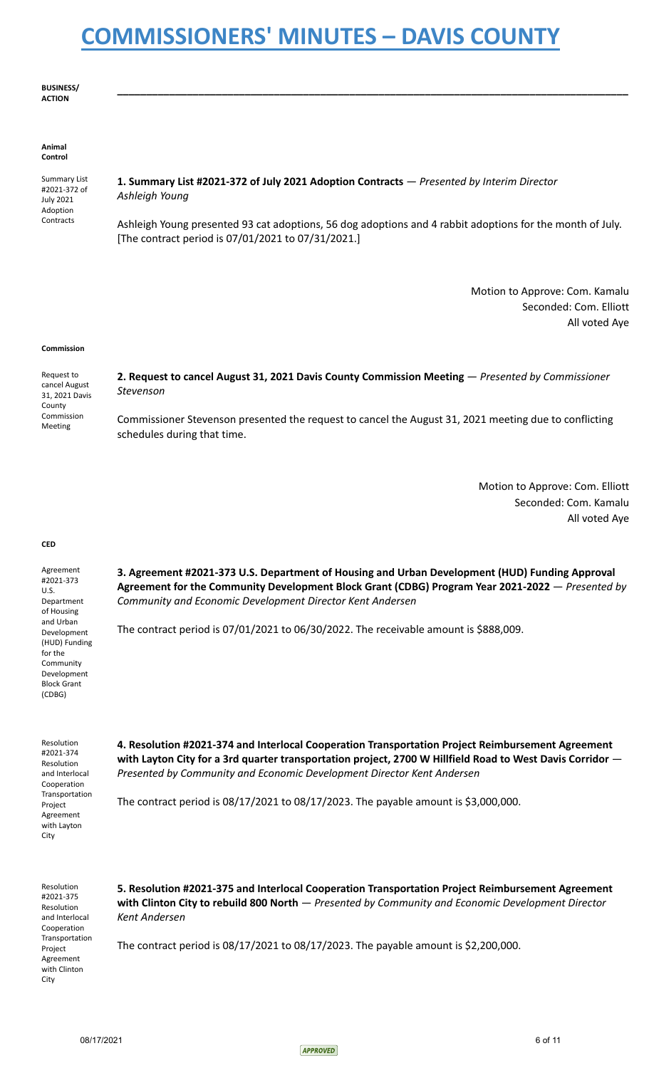**BUSINESS/ ACTION**

#### **Animal Control**

Summary List #2021-372 of July 2021 Adoption **Contracts** 

**1. Summary List #2021-372 of July 2021 Adoption Contracts** — *Presented by Interim Director Ashleigh Young*

Ashleigh Young presented 93 cat adoptions, 56 dog adoptions and 4 rabbit adoptions for the month of July. [The contract period is 07/01/2021 to 07/31/2021.]

**\_\_\_\_\_\_\_\_\_\_\_\_\_\_\_\_\_\_\_\_\_\_\_\_\_\_\_\_\_\_\_\_\_\_\_\_\_\_\_\_\_\_\_\_\_\_\_\_\_\_\_\_\_\_\_\_\_\_\_\_\_\_\_\_\_\_\_\_\_\_\_\_\_\_\_\_\_\_\_\_\_\_\_\_\_\_\_\_**

Motion to Approve: Com. Kamalu Seconded: Com. Elliott All voted Aye

#### **Commission**

Request to cancel August 31, 2021 Davis County Commission Meeting **2. Request to cancel August 31, 2021 Davis County Commission Meeting** — *Presented by Commissioner Stevenson* Commissioner Stevenson presented the request to cancel the August 31, 2021 meeting due to conflicting schedules during that time.

> Motion to Approve: Com. Elliott Seconded: Com. Kamalu All voted Aye

### **CED**

Agreement #2021-373 U.S. Department of Housing and Urban Development (HUD) Funding for the Community Development Block Grant (CDBG)

**3. Agreement #2021-373 U.S. Department of Housing and Urban Development (HUD) Funding Approval Agreement for the Community Development Block Grant (CDBG) Program Year 2021-2022** — *Presented by Community and Economic Development Director Kent Andersen*

The contract period is 07/01/2021 to 06/30/2022. The receivable amount is \$888,009.

Resolution #2021-374 Resolution and Interlocal Cooperation Transportation Project Agreement with Layton City

**4. Resolution #2021-374 and Interlocal Cooperation Transportation Project Reimbursement Agreement with Layton City for a 3rd quarter transportation project, 2700 W Hillfield Road to West Davis Corridor** — *Presented by Community and Economic Development Director Kent Andersen*

The contract period is  $08/17/2021$  to  $08/17/2023$ . The payable amount is \$3,000,000.

Resolution #2021-375 Resolution and Interlocal Cooperation Transportation Project Agreement with Clinton **City** 

**5. Resolution #2021-375 and Interlocal Cooperation Transportation Project Reimbursement Agreement with Clinton City to rebuild 800 North** — *Presented by Community and Economic Development Director Kent Andersen*

The contract period is 08/17/2021 to 08/17/2023. The payable amount is \$2,200,000.

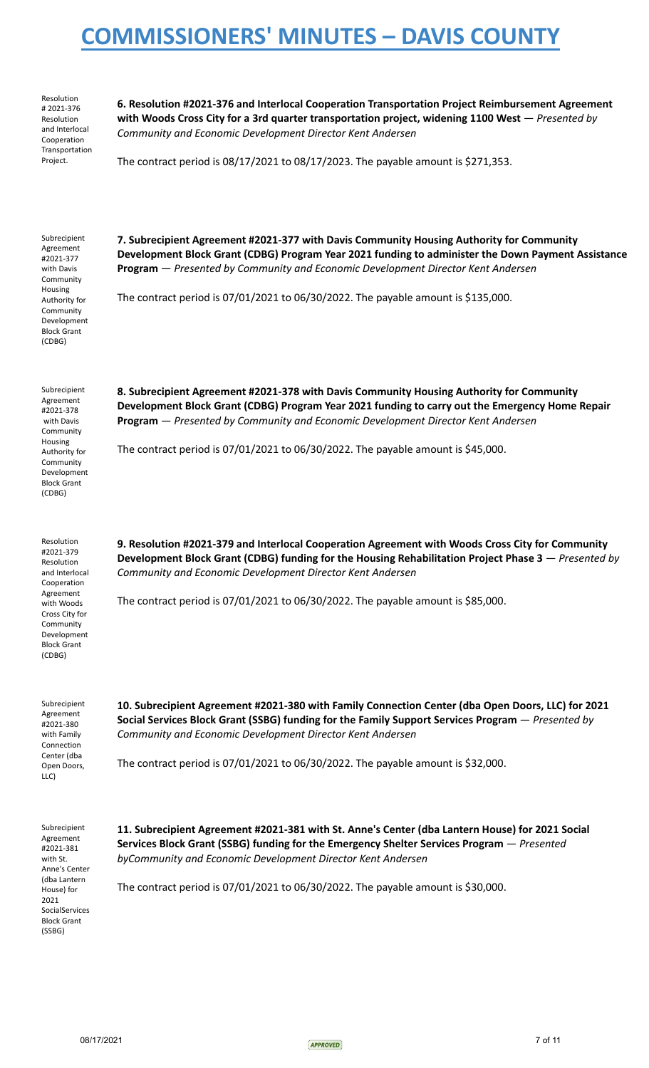Resolution # 2021-376 Resolution and Interlocal Cooperation Transportation Project.

**6. Resolution #2021-376 and Interlocal Cooperation Transportation Project Reimbursement Agreement with Woods Cross City for a 3rd quarter transportation project, widening 1100 West** — *Presented by Community and Economic Development Director Kent Andersen*

The contract period is 08/17/2021 to 08/17/2023. The payable amount is \$271,353.

Subrecipient Agreement #2021-377 with Davis Community Housing Authority for **Community** Development Block Grant (CDBG) **7. Subrecipient Agreement #2021-377 with Davis Community Housing Authority for Community Development Block Grant (CDBG) Program Year 2021 funding to administer the Down Payment Assistance Program** — *Presented by Community and Economic Development Director Kent Andersen* The contract period is 07/01/2021 to 06/30/2022. The payable amount is \$135,000. Subrecipient Agreement #2021-378 with Davis Community Housing Authority for Community Development Block Grant (CDBG) **8. Subrecipient Agreement #2021-378 with Davis Community Housing Authority for Community Development Block Grant (CDBG) Program Year 2021 funding to carry out the Emergency Home Repair Program** — *Presented by Community and Economic Development Director Kent Andersen* The contract period is 07/01/2021 to 06/30/2022. The payable amount is \$45,000. Resolution #2021-379 Resolution and Interlocal Cooperation Agreement with Woods Cross City for **Community** Development Block Grant (CDBG) **9. Resolution #2021-379 and Interlocal Cooperation Agreement with Woods Cross City for Community Development Block Grant (CDBG) funding for the Housing Rehabilitation Project Phase 3** — *Presented by Community and Economic Development Director Kent Andersen* The contract period is 07/01/2021 to 06/30/2022. The payable amount is \$85,000. Subrecipient Agreement #2021-380 with Family Connection Center (dba Open Doors, LLC) **10. Subrecipient Agreement #2021-380 with Family Connection Center (dba Open Doors, LLC) for 2021 Social Services Block Grant (SSBG) funding for the Family Support Services Program** — *Presented by Community and Economic Development Director Kent Andersen* The contract period is 07/01/2021 to 06/30/2022. The payable amount is \$32,000. Subrecipient Agreement #2021-381 with St. Anne's Center (dba Lantern House) for 2021 **11. Subrecipient Agreement #2021-381 with St. Anne's Center (dba Lantern House) for 2021 Social Services Block Grant (SSBG) funding for the Emergency Shelter Services Program** — *Presented byCommunity and Economic Development Director Kent Andersen* The contract period is 07/01/2021 to 06/30/2022. The payable amount is \$30,000.

SocialServices Block Grant (SSBG)

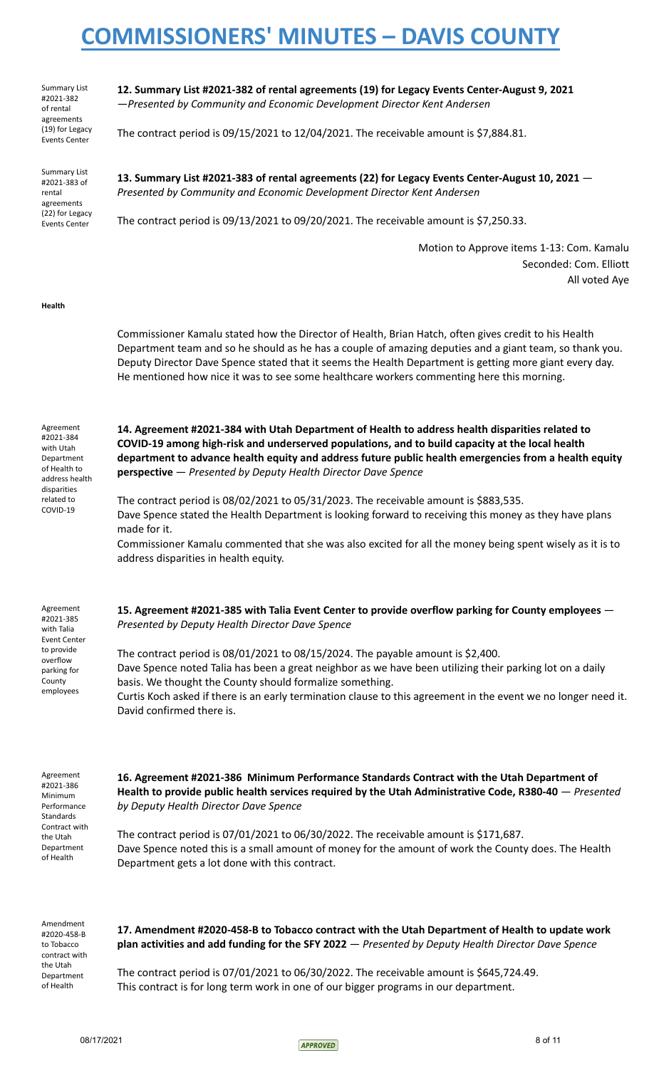Summary List #2021-382 of rental agreements (19) for Legacy Events Center

**12. Summary List #2021-382 of rental agreements (19) for Legacy Events Center-August 9, 2021** —*Presented by Community and Economic Development Director Kent Andersen*

The contract period is 09/15/2021 to 12/04/2021. The receivable amount is \$7,884.81.

Summary List #2021-383 of rental agreements (22) for Legacy Events Center

**13. Summary List #2021-383 of rental agreements (22) for Legacy Events Center-August 10, 2021** — *Presented by Community and Economic Development Director Kent Andersen*

The contract period is 09/13/2021 to 09/20/2021. The receivable amount is \$7,250.33.

Motion to Approve items 1-13: Com. Kamalu Seconded: Com. Elliott All voted Aye

### **Health**

Commissioner Kamalu stated how the Director of Health, Brian Hatch, often gives credit to his Health Department team and so he should as he has a couple of amazing deputies and a giant team, so thank you. Deputy Director Dave Spence stated that it seems the Health Department is getting more giant every day. He mentioned how nice it was to see some healthcare workers commenting here this morning.

Agreement #2021-384 with Utah Department of Health to address health disparities related to COVID-19 **14. Agreement #2021-384 with Utah Department of Health to address health disparities related to COVID-19 among high-risk and underserved populations, and to build capacity at the local health department to advance health equity and address future public health emergencies from a health equity perspective** — *Presented by Deputy Health Director Dave Spence* The contract period is 08/02/2021 to 05/31/2023. The receivable amount is \$883,535. Dave Spence stated the Health Department is looking forward to receiving this money as they have plans made for it. Commissioner Kamalu commented that she was also excited for all the money being spent wisely as it is to address disparities in health equity. Agreement #2021-385 with Talia Event Center to provide overflow parking for County employees **15. Agreement #2021-385 with Talia Event Center to provide overflow parking for County employees** — *Presented by Deputy Health Director Dave Spence* The contract period is 08/01/2021 to 08/15/2024. The payable amount is \$2,400. Dave Spence noted Talia has been a great neighbor as we have been utilizing their parking lot on a daily basis. We thought the County should formalize something. Curtis Koch asked if there is an early termination clause to this agreement in the event we no longer need it. David confirmed there is. Agreement #2021-386 Minimum Performance Standards Contract with the Utah Department of Health **16. Agreement #2021-386 Minimum Performance Standards Contract with the Utah Department of Health to provide public health services required by the Utah Administrative Code, R380-40** — *Presented by Deputy Health Director Dave Spence* The contract period is 07/01/2021 to 06/30/2022. The receivable amount is \$171,687. Dave Spence noted this is a small amount of money for the amount of work the County does. The Health Department gets a lot done with this contract.

Amendment #2020-458-B to Tobacco contract with the Utah Department of Health

**17. Amendment #2020-458-B to Tobacco contract with the Utah Department of Health to update work plan activities and add funding for the SFY 2022** — *Presented by Deputy Health Director Dave Spence*

The contract period is 07/01/2021 to 06/30/2022. The receivable amount is \$645,724.49. This contract is for long term work in one of our bigger programs in our department.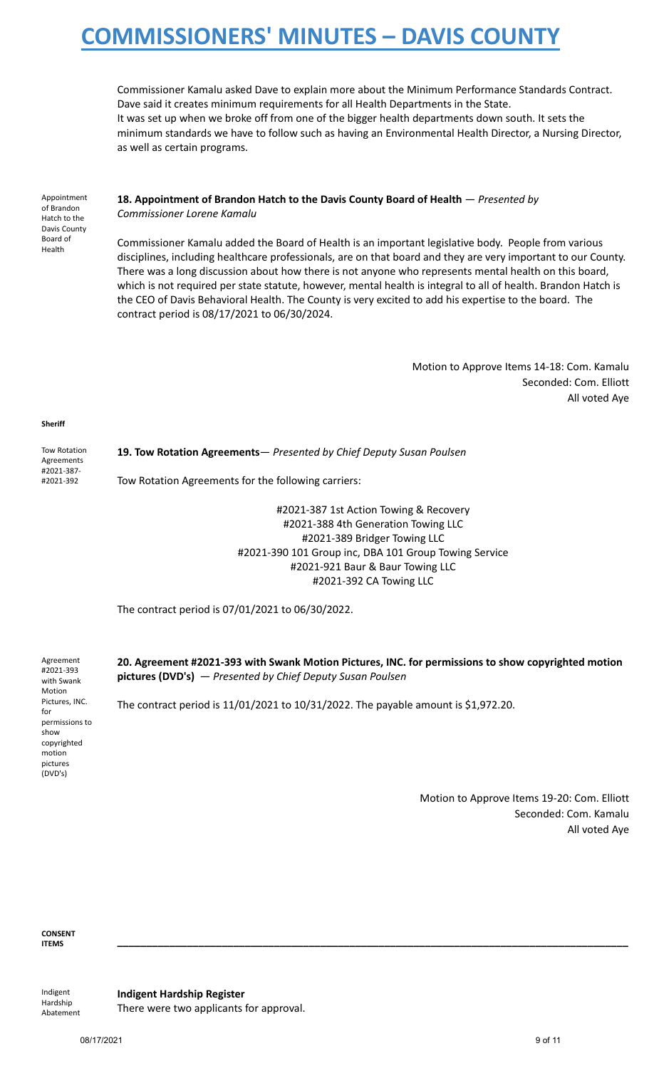Commissioner Kamalu asked Dave to explain more about the Minimum Performance Standards Contract. Dave said it creates minimum requirements for all Health Departments in the State. It was set up when we broke off from one of the bigger health departments down south. It sets the minimum standards we have to follow such as having an Environmental Health Director, a Nursing Director, as well as certain programs.

Appointment of Brandon Hatch to the Davis County Board of Health

### **18. Appointment of Brandon Hatch to the Davis County Board of Health** — *Presented by Commissioner Lorene Kamalu*

Commissioner Kamalu added the Board of Health is an important legislative body. People from various disciplines, including healthcare professionals, are on that board and they are very important to our County. There was a long discussion about how there is not anyone who represents mental health on this board, which is not required per state statute, however, mental health is integral to all of health. Brandon Hatch is the CEO of Davis Behavioral Health. The County is very excited to add his expertise to the board. The contract period is 08/17/2021 to 06/30/2024.

> Motion to Approve Items 14-18: Com. Kamalu Seconded: Com. Elliott All voted Aye

**Sheriff**

Tow Rotation Agreements #2021-387- #2021-392

**19. Tow Rotation Agreements**— *Presented by Chief Deputy Susan Poulsen* Tow Rotation Agreements for the following carriers:

> #2021-387 1st Action Towing & Recovery #2021-388 4th Generation Towing LLC #2021-389 Bridger Towing LLC #2021-390 101 Group inc, DBA 101 Group Towing Service #2021-921 Baur & Baur Towing LLC #2021-392 CA Towing LLC

The contract period is 07/01/2021 to 06/30/2022.

Agreement #2021-393 with Swank Motion Pictures, INC. for permissions to show copyrighted motion pictures (DVD's)

**20. Agreement #2021-393 with Swank Motion Pictures, INC. for permissions to show copyrighted motion pictures (DVD's)** — *Presented by Chief Deputy Susan Poulsen*

The contract period is 11/01/2021 to 10/31/2022. The payable amount is \$1,972.20.

Motion to Approve Items 19-20: Com. Elliott Seconded: Com. Kamalu All voted Aye

**CONSENT ITEMS \_\_\_\_\_\_\_\_\_\_\_\_\_\_\_\_\_\_\_\_\_\_\_\_\_\_\_\_\_\_\_\_\_\_\_\_\_\_\_\_\_\_\_\_\_\_\_\_\_\_\_\_\_\_\_\_\_\_\_\_\_\_\_\_\_\_\_\_\_\_\_\_\_\_\_\_\_\_\_\_\_\_\_\_\_\_\_\_**

Indigent Hardship Abatement **Indigent Hardship Register** There were two applicants for approval.

08/17/2021 9 of 11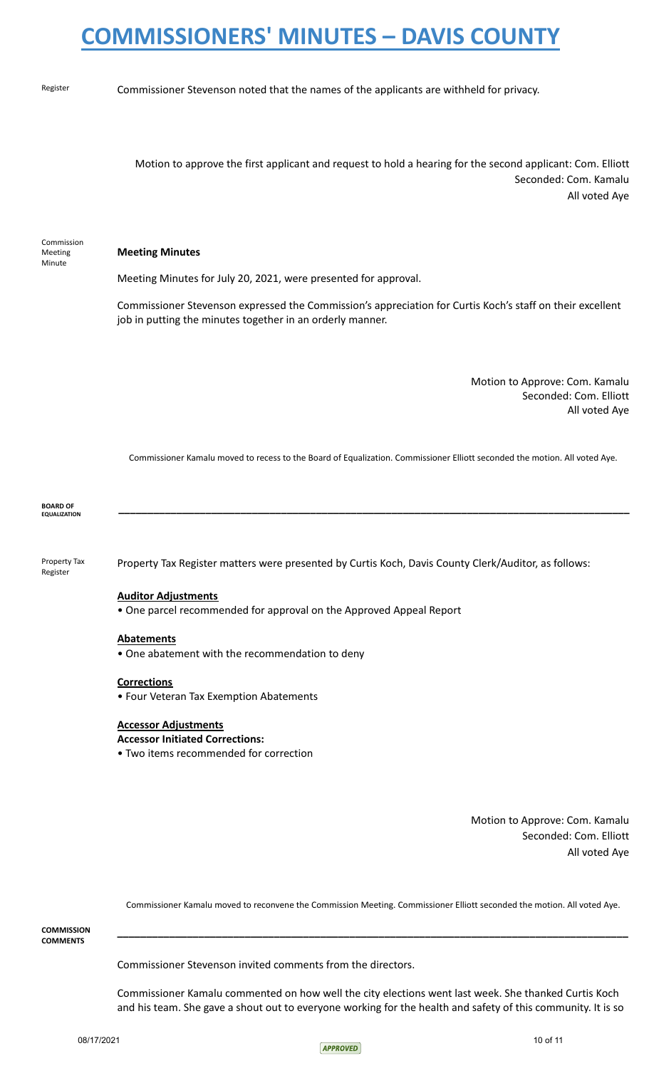Commission Meeting Minute

Register **Commissioner Stevenson noted that the names of the applicants are withheld for privacy.** 

Motion to approve the first applicant and request to hold a hearing for the second applicant: Com. Elliott Seconded: Com. Kamalu All voted Aye

**Meeting Minutes**

Meeting Minutes for July 20, 2021, were presented for approval.

Commissioner Stevenson expressed the Commission's appreciation for Curtis Koch's staff on their excellent job in putting the minutes together in an orderly manner.

> Motion to Approve: Com. Kamalu Seconded: Com. Elliott All voted Aye

Commissioner Kamalu moved to recess to the Board of Equalization. Commissioner Elliott seconded the motion. All voted Aye.

**BOARD OF EQUALIZATION \_\_\_\_\_\_\_\_\_\_\_\_\_\_\_\_\_\_\_\_\_\_\_\_\_\_\_\_\_\_\_\_\_\_\_\_\_\_\_\_\_\_\_\_\_\_\_\_\_\_\_\_\_\_\_\_\_\_\_\_\_\_\_\_\_\_\_\_\_\_\_\_\_\_\_\_\_\_\_\_\_\_\_\_\_\_\_\_**

Property Tax Register

Property Tax Register matters were presented by Curtis Koch, Davis County Clerk/Auditor, as follows:

### **Auditor Adjustments**

• One parcel recommended for approval on the Approved Appeal Report

### **Abatements**

• One abatement with the recommendation to deny

#### **Corrections**

• Four Veteran Tax Exemption Abatements

#### **Accessor Adjustments**

#### **Accessor Initiated Corrections:**

• Two items recommended for correction

Motion to Approve: Com. Kamalu Seconded: Com. Elliott All voted Aye

Commissioner Kamalu moved to reconvene the Commission Meeting. Commissioner Elliott seconded the motion. All voted Aye.

**\_\_\_\_\_\_\_\_\_\_\_\_\_\_\_\_\_\_\_\_\_\_\_\_\_\_\_\_\_\_\_\_\_\_\_\_\_\_\_\_\_\_\_\_\_\_\_\_\_\_\_\_\_\_\_\_\_\_\_\_\_\_\_\_\_\_\_\_\_\_\_\_\_\_\_\_\_\_\_\_\_\_\_\_\_\_\_\_**

**COMMISSION COMMENTS**

Commissioner Stevenson invited comments from the directors.

Commissioner Kamalu commented on how well the city elections went last week. She thanked Curtis Koch and his team. She gave a shout out to everyone working for the health and safety of this community. It is so